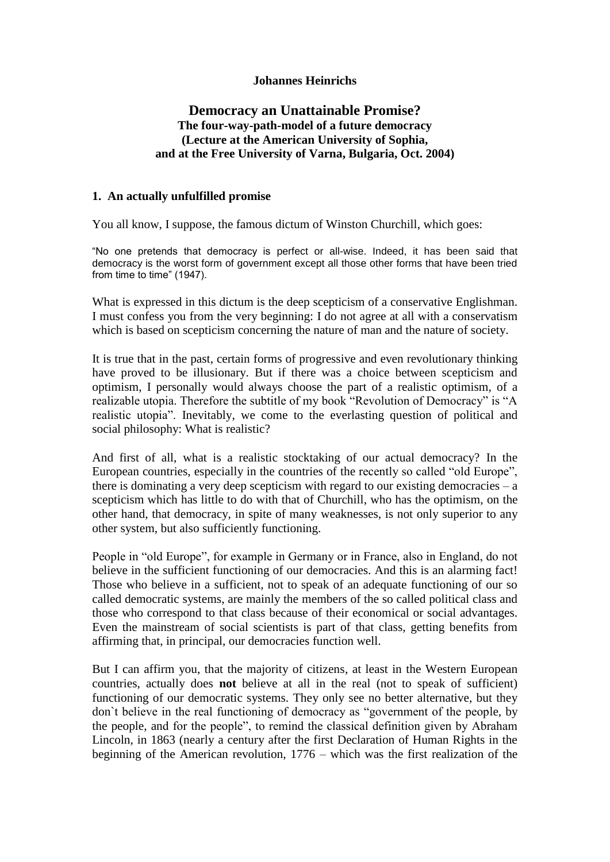### **Johannes Heinrichs**

# **Democracy an Unattainable Promise? The four-way-path-model of a future democracy (Lecture at the American University of Sophia, and at the Free University of Varna, Bulgaria, Oct. 2004)**

#### **1. An actually unfulfilled promise**

You all know, I suppose, the famous dictum of Winston Churchill, which goes:

"No one pretends that democracy is perfect or all-wise. Indeed, it has been said that democracy is the worst form of government except all those other forms that have been tried from time to time" (1947).

What is expressed in this dictum is the deep scepticism of a conservative Englishman. I must confess you from the very beginning: I do not agree at all with a conservatism which is based on scepticism concerning the nature of man and the nature of society.

It is true that in the past, certain forms of progressive and even revolutionary thinking have proved to be illusionary. But if there was a choice between scepticism and optimism, I personally would always choose the part of a realistic optimism, of a realizable utopia. Therefore the subtitle of my book "Revolution of Democracy" is "A realistic utopia". Inevitably, we come to the everlasting question of political and social philosophy: What is realistic?

And first of all, what is a realistic stocktaking of our actual democracy? In the European countries, especially in the countries of the recently so called "old Europe", there is dominating a very deep scepticism with regard to our existing democracies  $- a$ scepticism which has little to do with that of Churchill, who has the optimism, on the other hand, that democracy, in spite of many weaknesses, is not only superior to any other system, but also sufficiently functioning.

People in "old Europe", for example in Germany or in France, also in England, do not believe in the sufficient functioning of our democracies. And this is an alarming fact! Those who believe in a sufficient, not to speak of an adequate functioning of our so called democratic systems, are mainly the members of the so called political class and those who correspond to that class because of their economical or social advantages. Even the mainstream of social scientists is part of that class, getting benefits from affirming that, in principal, our democracies function well.

But I can affirm you, that the majority of citizens, at least in the Western European countries, actually does **not** believe at all in the real (not to speak of sufficient) functioning of our democratic systems. They only see no better alternative, but they don`t believe in the real functioning of democracy as "government of the people, by the people, and for the people", to remind the classical definition given by Abraham Lincoln, in 1863 (nearly a century after the first Declaration of Human Rights in the beginning of the American revolution, 1776 – which was the first realization of the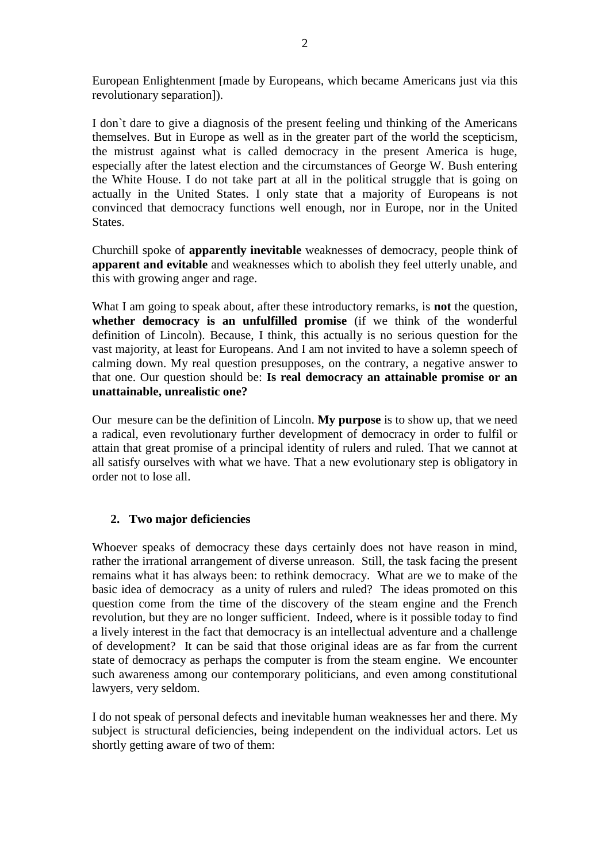European Enlightenment [made by Europeans, which became Americans just via this revolutionary separation]).

I don`t dare to give a diagnosis of the present feeling und thinking of the Americans themselves. But in Europe as well as in the greater part of the world the scepticism, the mistrust against what is called democracy in the present America is huge, especially after the latest election and the circumstances of George W. Bush entering the White House. I do not take part at all in the political struggle that is going on actually in the United States. I only state that a majority of Europeans is not convinced that democracy functions well enough, nor in Europe, nor in the United States.

Churchill spoke of **apparently inevitable** weaknesses of democracy, people think of **apparent and evitable** and weaknesses which to abolish they feel utterly unable, and this with growing anger and rage.

What I am going to speak about, after these introductory remarks, is **not** the question, **whether democracy is an unfulfilled promise** (if we think of the wonderful definition of Lincoln). Because, I think, this actually is no serious question for the vast majority, at least for Europeans. And I am not invited to have a solemn speech of calming down. My real question presupposes, on the contrary, a negative answer to that one. Our question should be: **Is real democracy an attainable promise or an unattainable, unrealistic one?** 

Our mesure can be the definition of Lincoln. **My purpose** is to show up, that we need a radical, even revolutionary further development of democracy in order to fulfil or attain that great promise of a principal identity of rulers and ruled. That we cannot at all satisfy ourselves with what we have. That a new evolutionary step is obligatory in order not to lose all.

# **2. Two major deficiencies**

Whoever speaks of democracy these days certainly does not have reason in mind, rather the irrational arrangement of diverse unreason. Still, the task facing the present remains what it has always been: to rethink democracy. What are we to make of the basic idea of democracy as a unity of rulers and ruled? The ideas promoted on this question come from the time of the discovery of the steam engine and the French revolution, but they are no longer sufficient. Indeed, where is it possible today to find a lively interest in the fact that democracy is an intellectual adventure and a challenge of development? It can be said that those original ideas are as far from the current state of democracy as perhaps the computer is from the steam engine. We encounter such awareness among our contemporary politicians, and even among constitutional lawyers, very seldom.

I do not speak of personal defects and inevitable human weaknesses her and there. My subject is structural deficiencies, being independent on the individual actors. Let us shortly getting aware of two of them: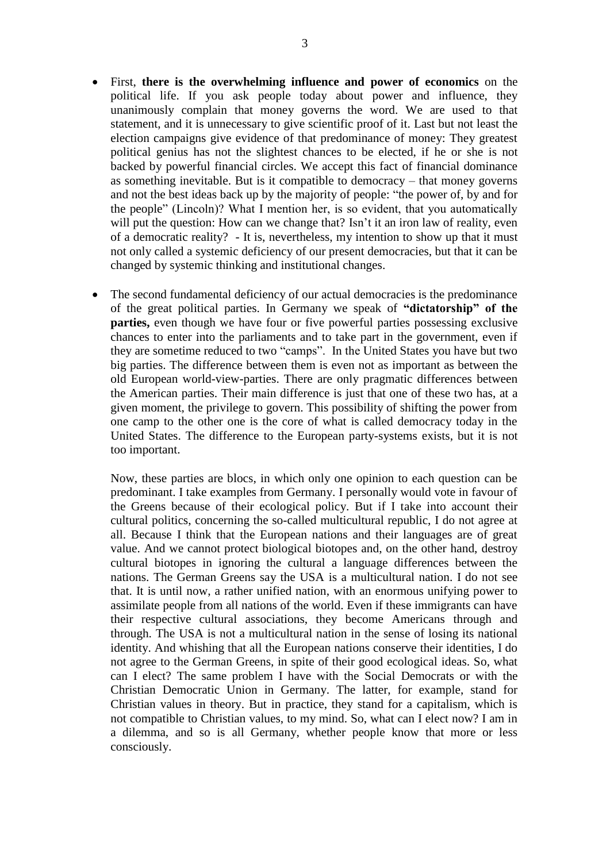- First, **there is the overwhelming influence and power of economics** on the political life. If you ask people today about power and influence, they unanimously complain that money governs the word. We are used to that statement, and it is unnecessary to give scientific proof of it. Last but not least the election campaigns give evidence of that predominance of money: They greatest political genius has not the slightest chances to be elected, if he or she is not backed by powerful financial circles. We accept this fact of financial dominance as something inevitable. But is it compatible to democracy – that money governs and not the best ideas back up by the majority of people: "the power of, by and for the people" (Lincoln)? What I mention her, is so evident, that you automatically will put the question: How can we change that? Isn't it an iron law of reality, even of a democratic reality? - It is, nevertheless, my intention to show up that it must not only called a systemic deficiency of our present democracies, but that it can be changed by systemic thinking and institutional changes.
- The second fundamental deficiency of our actual democracies is the predominance of the great political parties. In Germany we speak of **"dictatorship" of the parties,** even though we have four or five powerful parties possessing exclusive chances to enter into the parliaments and to take part in the government, even if they are sometime reduced to two "camps". In the United States you have but two big parties. The difference between them is even not as important as between the old European world-view-parties. There are only pragmatic differences between the American parties. Their main difference is just that one of these two has, at a given moment, the privilege to govern. This possibility of shifting the power from one camp to the other one is the core of what is called democracy today in the United States. The difference to the European party-systems exists, but it is not too important.

Now, these parties are blocs, in which only one opinion to each question can be predominant. I take examples from Germany. I personally would vote in favour of the Greens because of their ecological policy. But if I take into account their cultural politics, concerning the so-called multicultural republic, I do not agree at all. Because I think that the European nations and their languages are of great value. And we cannot protect biological biotopes and, on the other hand, destroy cultural biotopes in ignoring the cultural a language differences between the nations. The German Greens say the USA is a multicultural nation. I do not see that. It is until now, a rather unified nation, with an enormous unifying power to assimilate people from all nations of the world. Even if these immigrants can have their respective cultural associations, they become Americans through and through. The USA is not a multicultural nation in the sense of losing its national identity. And whishing that all the European nations conserve their identities, I do not agree to the German Greens, in spite of their good ecological ideas. So, what can I elect? The same problem I have with the Social Democrats or with the Christian Democratic Union in Germany. The latter, for example, stand for Christian values in theory. But in practice, they stand for a capitalism, which is not compatible to Christian values, to my mind. So, what can I elect now? I am in a dilemma, and so is all Germany, whether people know that more or less consciously.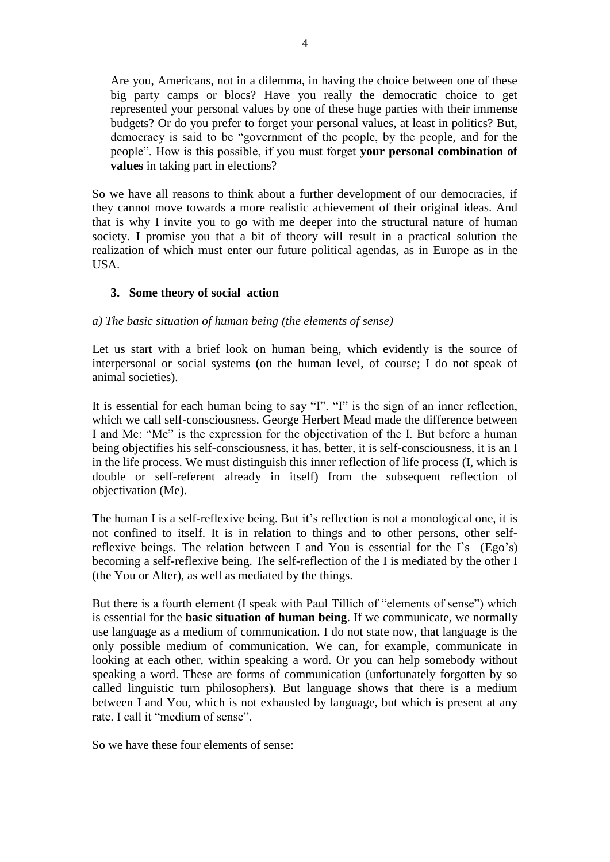Are you, Americans, not in a dilemma, in having the choice between one of these big party camps or blocs? Have you really the democratic choice to get represented your personal values by one of these huge parties with their immense budgets? Or do you prefer to forget your personal values, at least in politics? But, democracy is said to be "government of the people, by the people, and for the people". How is this possible, if you must forget **your personal combination of values** in taking part in elections?

So we have all reasons to think about a further development of our democracies, if they cannot move towards a more realistic achievement of their original ideas. And that is why I invite you to go with me deeper into the structural nature of human society. I promise you that a bit of theory will result in a practical solution the realization of which must enter our future political agendas, as in Europe as in the USA.

# **3. Some theory of social action**

#### *a) The basic situation of human being (the elements of sense)*

Let us start with a brief look on human being, which evidently is the source of interpersonal or social systems (on the human level, of course; I do not speak of animal societies).

It is essential for each human being to say "I". "I" is the sign of an inner reflection, which we call self-consciousness. George Herbert Mead made the difference between I and Me: "Me" is the expression for the objectivation of the I. But before a human being objectifies his self-consciousness, it has, better, it is self-consciousness, it is an I in the life process. We must distinguish this inner reflection of life process (I, which is double or self-referent already in itself) from the subsequent reflection of objectivation (Me).

The human I is a self-reflexive being. But it's reflection is not a monological one, it is not confined to itself. It is in relation to things and to other persons, other selfreflexive beings. The relation between I and You is essential for the  $\Gamma$ s (Ego's) becoming a self-reflexive being. The self-reflection of the I is mediated by the other I (the You or Alter), as well as mediated by the things.

But there is a fourth element (I speak with Paul Tillich of "elements of sense") which is essential for the **basic situation of human being**. If we communicate, we normally use language as a medium of communication. I do not state now, that language is the only possible medium of communication. We can, for example, communicate in looking at each other, within speaking a word. Or you can help somebody without speaking a word. These are forms of communication (unfortunately forgotten by so called linguistic turn philosophers). But language shows that there is a medium between I and You, which is not exhausted by language, but which is present at any rate. I call it "medium of sense".

So we have these four elements of sense: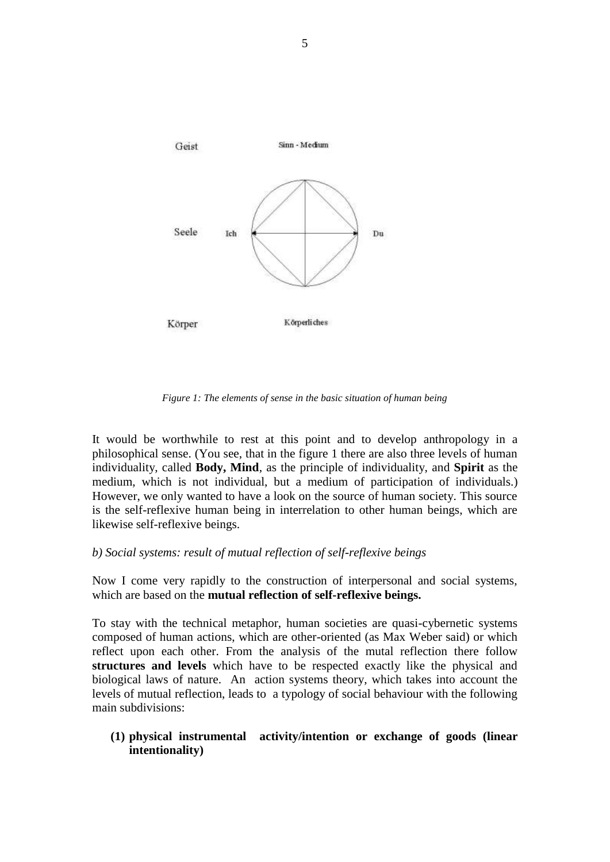

*Figure 1: The elements of sense in the basic situation of human being*

It would be worthwhile to rest at this point and to develop anthropology in a philosophical sense. (You see, that in the figure 1 there are also three levels of human individuality, called **Body, Mind**, as the principle of individuality, and **Spirit** as the medium, which is not individual, but a medium of participation of individuals.) However, we only wanted to have a look on the source of human society. This source is the self-reflexive human being in interrelation to other human beings, which are likewise self-reflexive beings.

### *b) Social systems: result of mutual reflection of self-reflexive beings*

Now I come very rapidly to the construction of interpersonal and social systems, which are based on the **mutual reflection of self-reflexive beings.** 

To stay with the technical metaphor, human societies are quasi-cybernetic systems composed of human actions, which are other-oriented (as Max Weber said) or which reflect upon each other. From the analysis of the mutal reflection there follow **structures and levels** which have to be respected exactly like the physical and biological laws of nature. An action systems theory, which takes into account the levels of mutual reflection, leads to a typology of social behaviour with the following main subdivisions:

**(1) physical instrumental activity/intention or exchange of goods (linear intentionality)**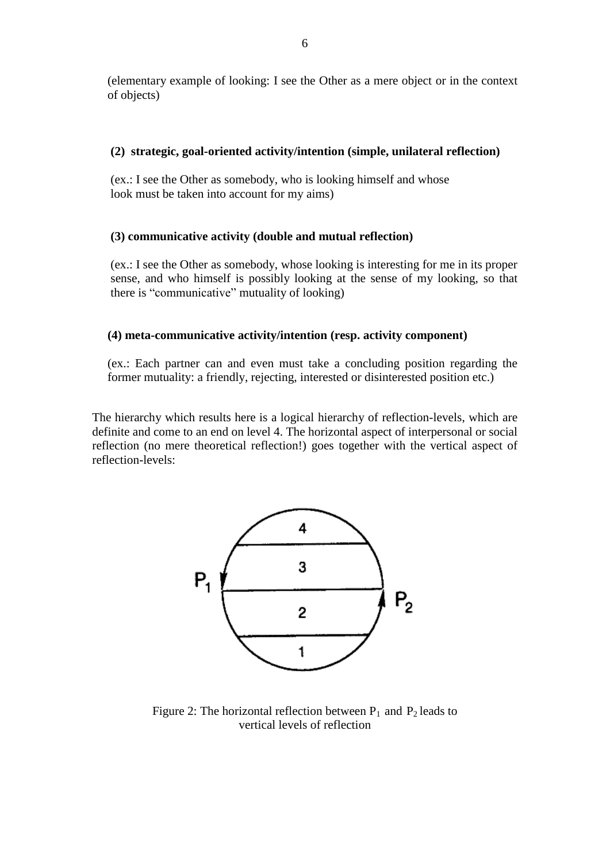(elementary example of looking: I see the Other as a mere object or in the context of objects)

### **(2) strategic, goal-oriented activity/intention (simple, unilateral reflection)**

 (ex.: I see the Other as somebody, who is looking himself and whose look must be taken into account for my aims)

#### **(3) communicative activity (double and mutual reflection)**

(ex.: I see the Other as somebody, whose looking is interesting for me in its proper sense, and who himself is possibly looking at the sense of my looking, so that there is "communicative" mutuality of looking)

### **(4) meta-communicative activity/intention (resp. activity component)**

(ex.: Each partner can and even must take a concluding position regarding the former mutuality: a friendly, rejecting, interested or disinterested position etc.)

The hierarchy which results here is a logical hierarchy of reflection-levels, which are definite and come to an end on level 4. The horizontal aspect of interpersonal or social reflection (no mere theoretical reflection!) goes together with the vertical aspect of reflection-levels:



Figure 2: The horizontal reflection between  $P_1$  and  $P_2$  leads to vertical levels of reflection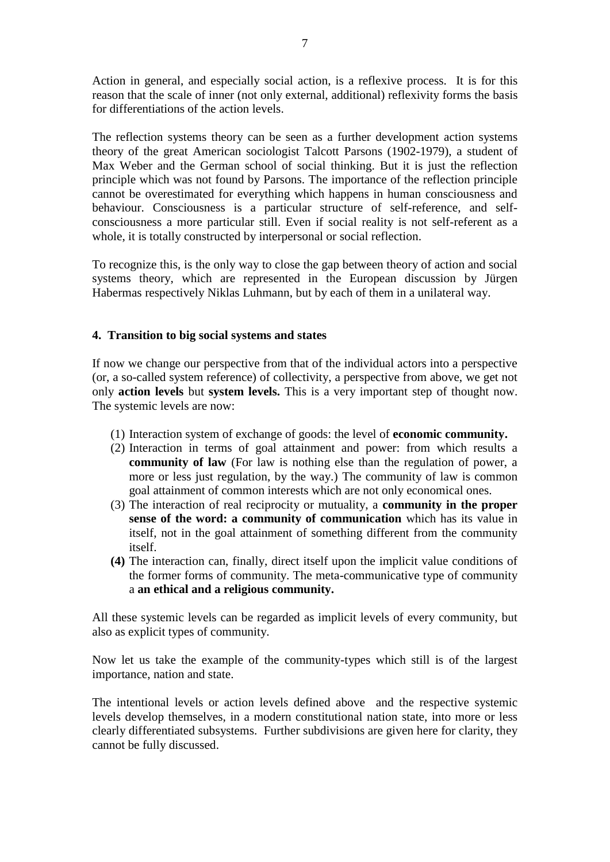Action in general, and especially social action, is a reflexive process. It is for this reason that the scale of inner (not only external, additional) reflexivity forms the basis for differentiations of the action levels.

The reflection systems theory can be seen as a further development action systems theory of the great American sociologist Talcott Parsons (1902-1979), a student of Max Weber and the German school of social thinking. But it is just the reflection principle which was not found by Parsons. The importance of the reflection principle cannot be overestimated for everything which happens in human consciousness and behaviour. Consciousness is a particular structure of self-reference, and selfconsciousness a more particular still. Even if social reality is not self-referent as a whole, it is totally constructed by interpersonal or social reflection.

To recognize this, is the only way to close the gap between theory of action and social systems theory, which are represented in the European discussion by Jürgen Habermas respectively Niklas Luhmann, but by each of them in a unilateral way.

### **4. Transition to big social systems and states**

If now we change our perspective from that of the individual actors into a perspective (or, a so-called system reference) of collectivity, a perspective from above, we get not only **action levels** but **system levels.** This is a very important step of thought now. The systemic levels are now:

- (1) Interaction system of exchange of goods: the level of **economic community.**
- (2) Interaction in terms of goal attainment and power: from which results a **community of law** (For law is nothing else than the regulation of power, a more or less just regulation, by the way.) The community of law is common goal attainment of common interests which are not only economical ones.
- (3) The interaction of real reciprocity or mutuality, a **community in the proper sense of the word: a community of communication** which has its value in itself, not in the goal attainment of something different from the community itself.
- **(4)** The interaction can, finally, direct itself upon the implicit value conditions of the former forms of community. The meta-communicative type of community a **an ethical and a religious community.**

All these systemic levels can be regarded as implicit levels of every community, but also as explicit types of community.

Now let us take the example of the community-types which still is of the largest importance, nation and state.

The intentional levels or action levels defined above and the respective systemic levels develop themselves, in a modern constitutional nation state, into more or less clearly differentiated subsystems. Further subdivisions are given here for clarity, they cannot be fully discussed.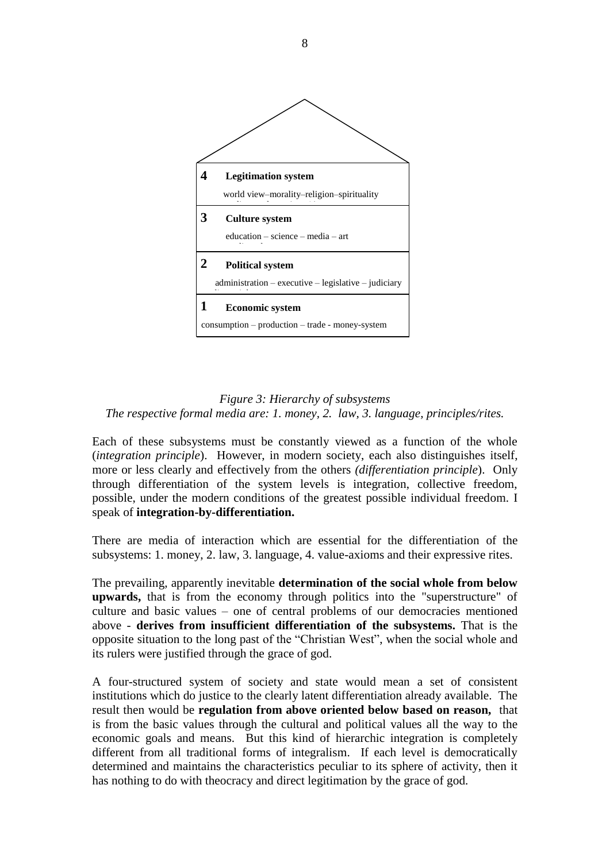

# *Figure 3: Hierarchy of subsystems The respective formal media are: 1. money, 2. law, 3. language, principles/rites.*

Each of these subsystems must be constantly viewed as a function of the whole (*integration principle*). However, in modern society, each also distinguishes itself, more or less clearly and effectively from the others *(differentiation principle*). Only through differentiation of the system levels is integration, collective freedom, possible, under the modern conditions of the greatest possible individual freedom. I speak of **integration-by-differentiation.**

There are media of interaction which are essential for the differentiation of the subsystems: 1. money, 2. law, 3. language, 4. value-axioms and their expressive rites.

The prevailing, apparently inevitable **determination of the social whole from below upwards,** that is from the economy through politics into the "superstructure" of culture and basic values – one of central problems of our democracies mentioned above - **derives from insufficient differentiation of the subsystems.** That is the opposite situation to the long past of the "Christian West", when the social whole and its rulers were justified through the grace of god.

A four-structured system of society and state would mean a set of consistent institutions which do justice to the clearly latent differentiation already available. The result then would be **regulation from above oriented below based on reason,** that is from the basic values through the cultural and political values all the way to the economic goals and means. But this kind of hierarchic integration is completely different from all traditional forms of integralism. If each level is democratically determined and maintains the characteristics peculiar to its sphere of activity, then it has nothing to do with theocracy and direct legitimation by the grace of god.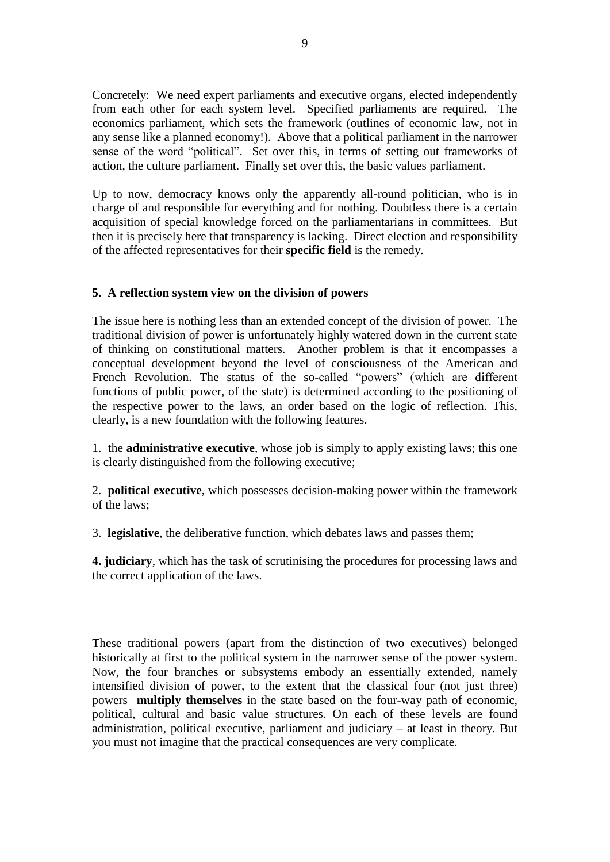Concretely: We need expert parliaments and executive organs, elected independently from each other for each system level. Specified parliaments are required. The economics parliament, which sets the framework (outlines of economic law, not in any sense like a planned economy!). Above that a political parliament in the narrower sense of the word "political". Set over this, in terms of setting out frameworks of action, the culture parliament. Finally set over this, the basic values parliament.

Up to now, democracy knows only the apparently all-round politician, who is in charge of and responsible for everything and for nothing. Doubtless there is a certain acquisition of special knowledge forced on the parliamentarians in committees. But then it is precisely here that transparency is lacking. Direct election and responsibility of the affected representatives for their **specific field** is the remedy.

### **5. A reflection system view on the division of powers**

The issue here is nothing less than an extended concept of the division of power. The traditional division of power is unfortunately highly watered down in the current state of thinking on constitutional matters. Another problem is that it encompasses a conceptual development beyond the level of consciousness of the American and French Revolution. The status of the so-called "powers" (which are different functions of public power, of the state) is determined according to the positioning of the respective power to the laws, an order based on the logic of reflection. This, clearly, is a new foundation with the following features.

1. the **administrative executive**, whose job is simply to apply existing laws; this one is clearly distinguished from the following executive;

2. **political executive**, which possesses decision-making power within the framework of the laws;

3. **legislative**, the deliberative function, which debates laws and passes them;

**4. judiciary**, which has the task of scrutinising the procedures for processing laws and the correct application of the laws.

These traditional powers (apart from the distinction of two executives) belonged historically at first to the political system in the narrower sense of the power system. Now, the four branches or subsystems embody an essentially extended, namely intensified division of power, to the extent that the classical four (not just three) powers **multiply themselves** in the state based on the four-way path of economic, political, cultural and basic value structures. On each of these levels are found administration, political executive, parliament and judiciary – at least in theory. But you must not imagine that the practical consequences are very complicate.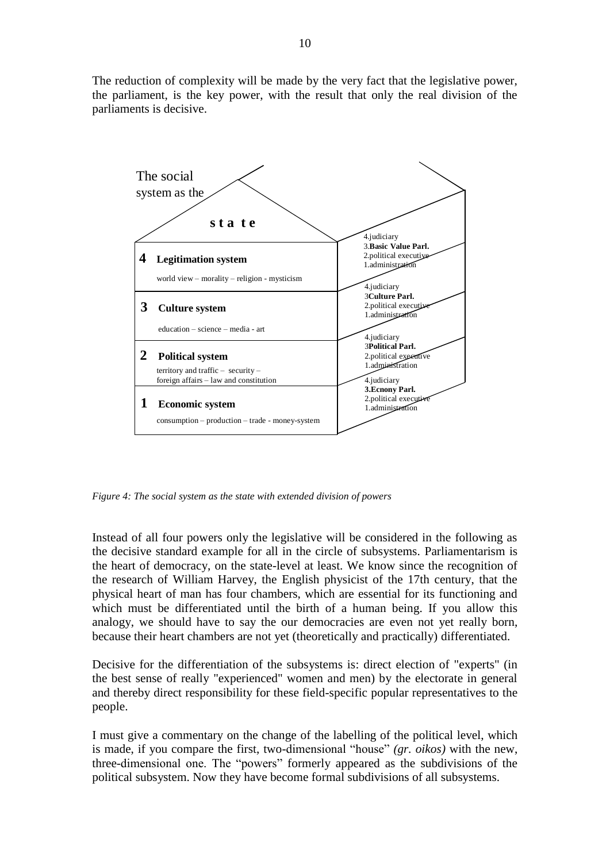The reduction of complexity will be made by the very fact that the legislative power, the parliament, is the key power, with the result that only the real division of the parliaments is decisive.



*Figure 4: The social system as the state with extended division of powers*

Instead of all four powers only the legislative will be considered in the following as the decisive standard example for all in the circle of subsystems. Parliamentarism is the heart of democracy, on the state-level at least. We know since the recognition of the research of William Harvey, the English physicist of the 17th century, that the physical heart of man has four chambers, which are essential for its functioning and which must be differentiated until the birth of a human being. If you allow this analogy, we should have to say the our democracies are even not yet really born, because their heart chambers are not yet (theoretically and practically) differentiated.

Decisive for the differentiation of the subsystems is: direct election of "experts" (in the best sense of really "experienced" women and men) by the electorate in general and thereby direct responsibility for these field-specific popular representatives to the people.

I must give a commentary on the change of the labelling of the political level, which is made, if you compare the first, two-dimensional "house" *(gr. oikos)* with the new, three-dimensional one. The "powers" formerly appeared as the subdivisions of the political subsystem. Now they have become formal subdivisions of all subsystems.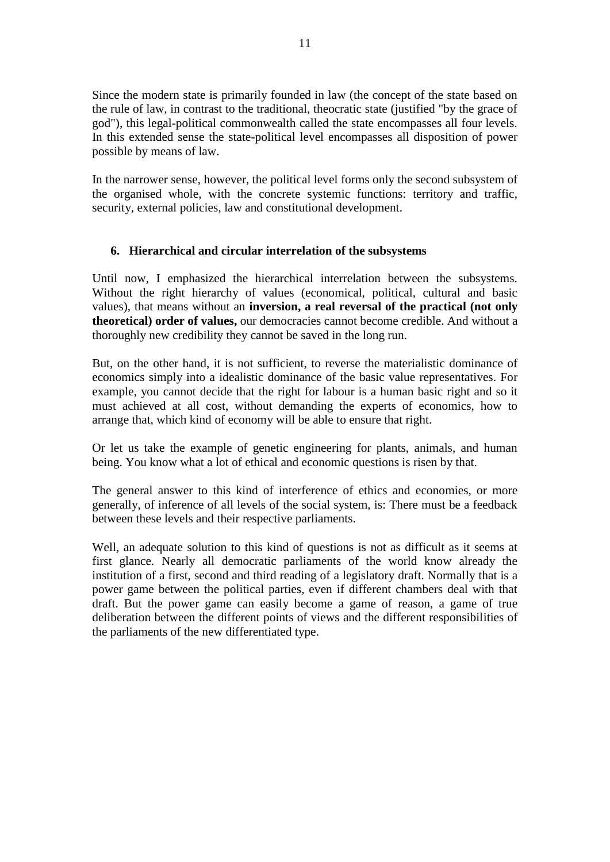Since the modern state is primarily founded in law (the concept of the state based on the rule of law, in contrast to the traditional, theocratic state (justified "by the grace of god"), this legal-political commonwealth called the state encompasses all four levels. In this extended sense the state-political level encompasses all disposition of power possible by means of law.

In the narrower sense, however, the political level forms only the second subsystem of the organised whole, with the concrete systemic functions: territory and traffic, security, external policies, law and constitutional development.

# **6. Hierarchical and circular interrelation of the subsystems**

Until now, I emphasized the hierarchical interrelation between the subsystems. Without the right hierarchy of values (economical, political, cultural and basic values), that means without an **inversion, a real reversal of the practical (not only theoretical) order of values,** our democracies cannot become credible. And without a thoroughly new credibility they cannot be saved in the long run.

But, on the other hand, it is not sufficient, to reverse the materialistic dominance of economics simply into a idealistic dominance of the basic value representatives. For example, you cannot decide that the right for labour is a human basic right and so it must achieved at all cost, without demanding the experts of economics, how to arrange that, which kind of economy will be able to ensure that right.

Or let us take the example of genetic engineering for plants, animals, and human being. You know what a lot of ethical and economic questions is risen by that.

The general answer to this kind of interference of ethics and economies, or more generally, of inference of all levels of the social system, is: There must be a feedback between these levels and their respective parliaments.

Well, an adequate solution to this kind of questions is not as difficult as it seems at first glance. Nearly all democratic parliaments of the world know already the institution of a first, second and third reading of a legislatory draft. Normally that is a power game between the political parties, even if different chambers deal with that draft. But the power game can easily become a game of reason, a game of true deliberation between the different points of views and the different responsibilities of the parliaments of the new differentiated type.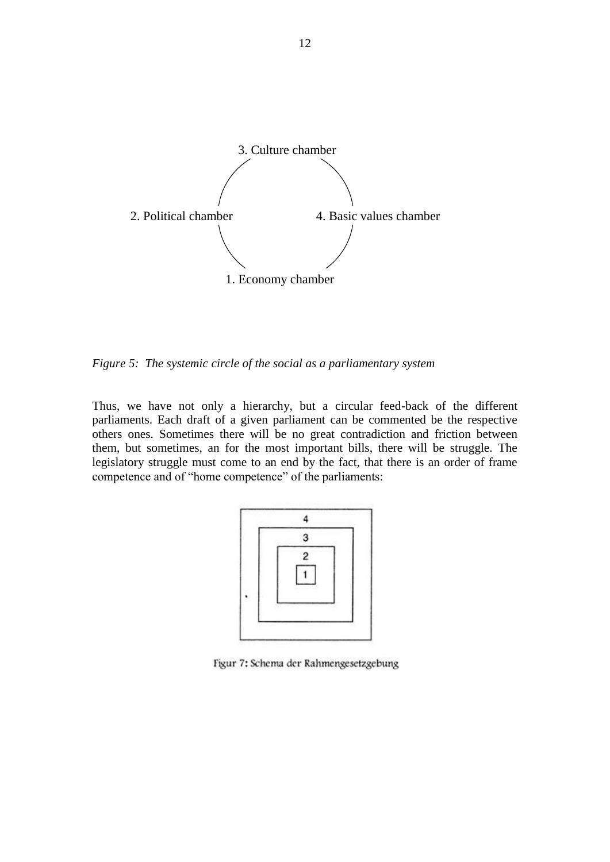

*Figure 5: The systemic circle of the social as a parliamentary system*

Thus, we have not only a hierarchy, but a circular feed-back of the different parliaments. Each draft of a given parliament can be commented be the respective others ones. Sometimes there will be no great contradiction and friction between them, but sometimes, an for the most important bills, there will be struggle. The legislatory struggle must come to an end by the fact, that there is an order of frame competence and of "home competence" of the parliaments:



Figur 7: Schema der Rahmengesetzgebung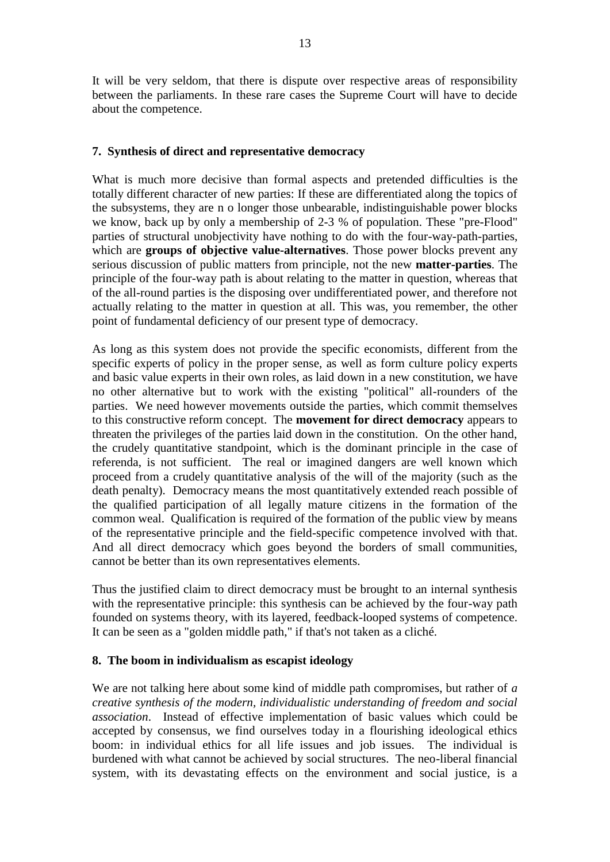It will be very seldom, that there is dispute over respective areas of responsibility between the parliaments. In these rare cases the Supreme Court will have to decide about the competence.

### **7. Synthesis of direct and representative democracy**

What is much more decisive than formal aspects and pretended difficulties is the totally different character of new parties: If these are differentiated along the topics of the subsystems, they are n o longer those unbearable, indistinguishable power blocks we know, back up by only a membership of 2-3 % of population. These "pre-Flood" parties of structural unobjectivity have nothing to do with the four-way-path-parties, which are **groups of objective value-alternatives**. Those power blocks prevent any serious discussion of public matters from principle, not the new **matter-parties**. The principle of the four-way path is about relating to the matter in question, whereas that of the all-round parties is the disposing over undifferentiated power, and therefore not actually relating to the matter in question at all. This was, you remember, the other point of fundamental deficiency of our present type of democracy.

As long as this system does not provide the specific economists, different from the specific experts of policy in the proper sense, as well as form culture policy experts and basic value experts in their own roles, as laid down in a new constitution, we have no other alternative but to work with the existing "political" all-rounders of the parties. We need however movements outside the parties, which commit themselves to this constructive reform concept. The **movement for direct democracy** appears to threaten the privileges of the parties laid down in the constitution. On the other hand, the crudely quantitative standpoint, which is the dominant principle in the case of referenda, is not sufficient. The real or imagined dangers are well known which proceed from a crudely quantitative analysis of the will of the majority (such as the death penalty). Democracy means the most quantitatively extended reach possible of the qualified participation of all legally mature citizens in the formation of the common weal. Qualification is required of the formation of the public view by means of the representative principle and the field-specific competence involved with that. And all direct democracy which goes beyond the borders of small communities, cannot be better than its own representatives elements.

Thus the justified claim to direct democracy must be brought to an internal synthesis with the representative principle: this synthesis can be achieved by the four-way path founded on systems theory, with its layered, feedback-looped systems of competence. It can be seen as a "golden middle path," if that's not taken as a cliché.

### **8. The boom in individualism as escapist ideology**

We are not talking here about some kind of middle path compromises, but rather of *a creative synthesis of the modern, individualistic understanding of freedom and social association*. Instead of effective implementation of basic values which could be accepted by consensus, we find ourselves today in a flourishing ideological ethics boom: in individual ethics for all life issues and job issues. The individual is burdened with what cannot be achieved by social structures. The neo-liberal financial system, with its devastating effects on the environment and social justice, is a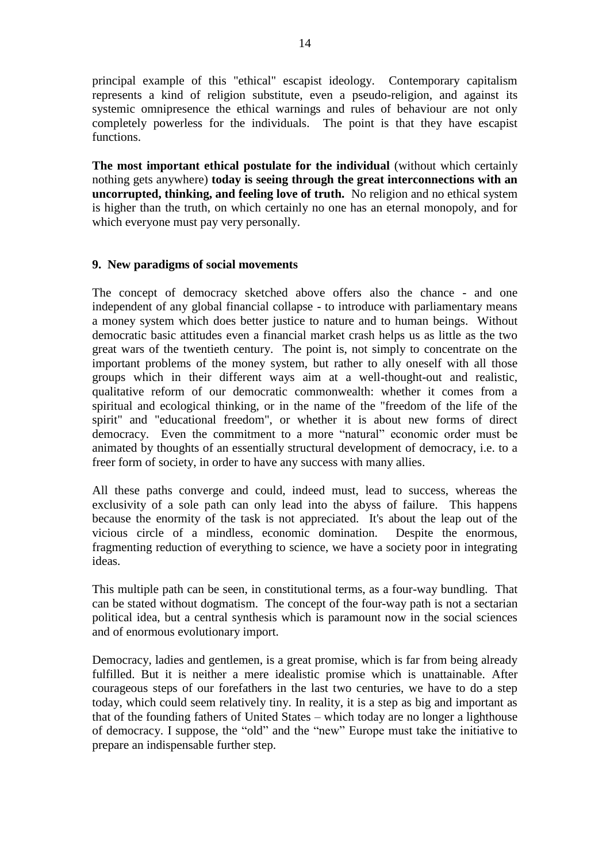principal example of this "ethical" escapist ideology. Contemporary capitalism represents a kind of religion substitute, even a pseudo-religion, and against its systemic omnipresence the ethical warnings and rules of behaviour are not only completely powerless for the individuals. The point is that they have escapist functions.

**The most important ethical postulate for the individual** (without which certainly nothing gets anywhere) **today is seeing through the great interconnections with an uncorrupted, thinking, and feeling love of truth.** No religion and no ethical system is higher than the truth, on which certainly no one has an eternal monopoly, and for which everyone must pay very personally.

### **9. New paradigms of social movements**

The concept of democracy sketched above offers also the chance - and one independent of any global financial collapse - to introduce with parliamentary means a money system which does better justice to nature and to human beings. Without democratic basic attitudes even a financial market crash helps us as little as the two great wars of the twentieth century. The point is, not simply to concentrate on the important problems of the money system, but rather to ally oneself with all those groups which in their different ways aim at a well-thought-out and realistic, qualitative reform of our democratic commonwealth: whether it comes from a spiritual and ecological thinking, or in the name of the "freedom of the life of the spirit" and "educational freedom", or whether it is about new forms of direct democracy. Even the commitment to a more "natural" economic order must be animated by thoughts of an essentially structural development of democracy, i.e. to a freer form of society, in order to have any success with many allies.

All these paths converge and could, indeed must, lead to success, whereas the exclusivity of a sole path can only lead into the abyss of failure. This happens because the enormity of the task is not appreciated. It's about the leap out of the vicious circle of a mindless, economic domination. Despite the enormous, fragmenting reduction of everything to science, we have a society poor in integrating ideas.

This multiple path can be seen, in constitutional terms, as a four-way bundling. That can be stated without dogmatism. The concept of the four-way path is not a sectarian political idea, but a central synthesis which is paramount now in the social sciences and of enormous evolutionary import.

Democracy, ladies and gentlemen, is a great promise, which is far from being already fulfilled. But it is neither a mere idealistic promise which is unattainable. After courageous steps of our forefathers in the last two centuries, we have to do a step today, which could seem relatively tiny. In reality, it is a step as big and important as that of the founding fathers of United States – which today are no longer a lighthouse of democracy. I suppose, the "old" and the "new" Europe must take the initiative to prepare an indispensable further step.